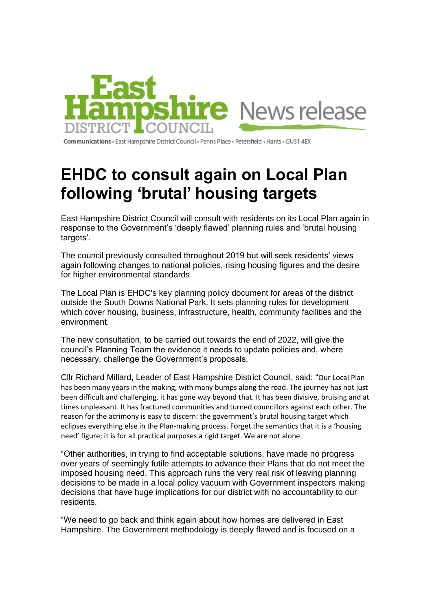

Communications · East Hampshire District Council · Penns Place · Petersfield · Hants · GU31 4EX

## **EHDC to consult again on Local Plan following 'brutal' housing targets**

East Hampshire District Council will consult with residents on its Local Plan again in response to the Government's 'deeply flawed' planning rules and 'brutal housing targets'.

The council previously consulted throughout 2019 but will seek residents' views again following changes to national policies, rising housing figures and the desire for higher environmental standards.

The Local Plan is EHDC's key planning policy document for areas of the district outside the South Downs National Park. It sets planning rules for development which cover housing, business, infrastructure, health, community facilities and the environment.

The new consultation, to be carried out towards the end of 2022, will give the council's Planning Team the evidence it needs to update policies and, where necessary, challenge the Government's proposals.

Cllr Richard Millard, Leader of East Hampshire District Council, said: "Our Local Plan has been many years in the making, with many bumps along the road. The journey has not just been difficult and challenging, it has gone way beyond that. It has been divisive, bruising and at times unpleasant. It has fractured communities and turned councillors against each other. The reason for the acrimony is easy to discern: the government's brutal housing target which eclipses everything else in the Plan-making process. Forget the semantics that it is a 'housing need' figure; it is for all practical purposes a rigid target. We are not alone.

"Other authorities, in trying to find acceptable solutions, have made no progress over years of seemingly futile attempts to advance their Plans that do not meet the imposed housing need. This approach runs the very real risk of leaving planning decisions to be made in a local policy vacuum with Government inspectors making decisions that have huge implications for our district with no accountability to our residents.

"We need to go back and think again about how homes are delivered in East Hampshire. The Government methodology is deeply flawed and is focused on a